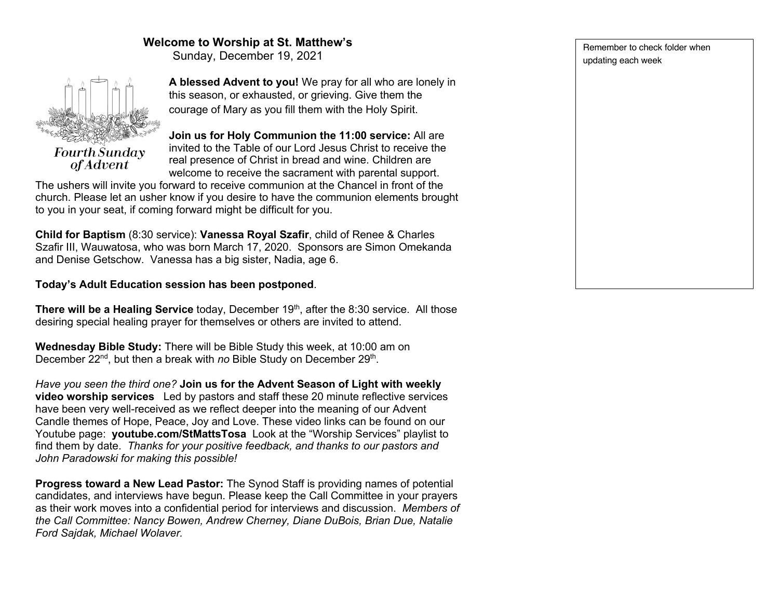# **Welcome to Worship at St. Matthew's**

Sunday, December 19, 2021



**A blessed Advent to you!** We pray for all who are lonely in this season, or exhausted, or grieving. Give them the courage of Mary as you fill them with the Holy Spirit.

**Join us for Holy Communion the 11:00 service:** All are invited to the Table of our Lord Jesus Christ to receive the real presence of Christ in bread and wine. Children are welcome to receive the sacrament with parental support.

The ushers will invite you forward to receive communion at the Chancel in front of the church. Please let an usher know if you desire to have the communion elements brought to you in your seat, if coming forward might be difficult for you.

**Child for Baptism** (8:30 service): **Vanessa Royal Szafir**, child of Renee & Charles Szafir III, Wauwatosa, who was born March 17, 2020. Sponsors are Simon Omekanda and Denise Getschow. Vanessa has a big sister, Nadia, age 6.

# **Today's Adult Education session has been postponed**.

**There will be a Healing Service** today, December 19<sup>th</sup>, after the 8:30 service. All those desiring special healing prayer for themselves or others are invited to attend.

**Wednesday Bible Study:** There will be Bible Study this week, at 10:00 am on December 22<sup>nd</sup>, but then a break with *no* Bible Study on December 29<sup>th</sup>.

*Have you seen the third one?* **Join us for the Advent Season of Light with weekly video worship services** Led by pastors and staff these 20 minute reflective services have been very well-received as we reflect deeper into the meaning of our Advent Candle themes of Hope, Peace, Joy and Love. These video links can be found on our Youtube page: **youtube.com/StMattsTosa** Look at the "Worship Services" playlist to find them by date. *Thanks for your positive feedback, and thanks to our pastors and John Paradowski for making this possible!*

**Progress toward a New Lead Pastor:** The Synod Staff is providing names of potential candidates, and interviews have begun. Please keep the Call Committee in your prayers as their work moves into a confidential period for interviews and discussion. *Members of the Call Committee: Nancy Bowen, Andrew Cherney, Diane DuBois, Brian Due, Natalie Ford Sajdak, Michael Wolaver.*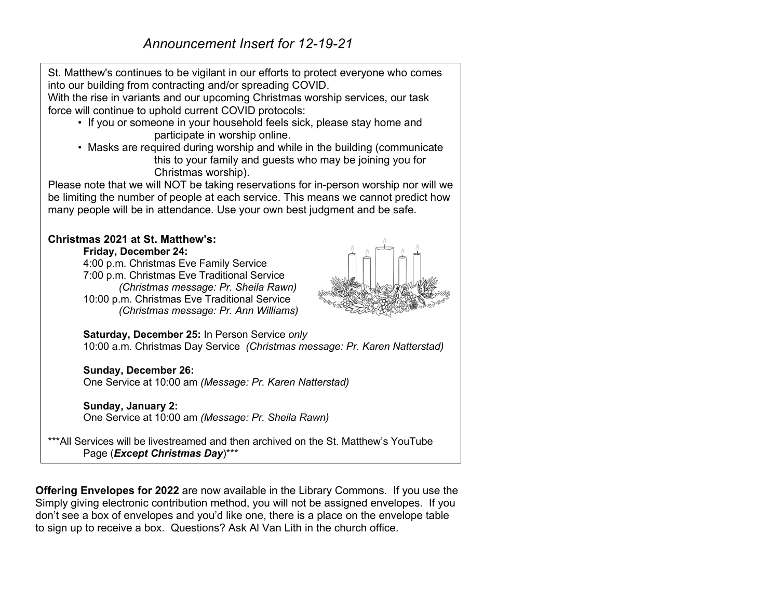St. Matthew's continues to be vigilant in our efforts to protect everyone who comes into our building from contracting and/or spreading COVID.

With the rise in variants and our upcoming Christmas worship services, our task force will continue to uphold current COVID protocols:

- If you or someone in your household feels sick, please stay home and participate in worship online.
- Masks are required during worship and while in the building (communicate this to your family and guests who may be joining you for Christmas worship).

Please note that we will NOT be taking reservations for in-person worship nor will we be limiting the number of people at each service. This means we cannot predict how many people will be in attendance. Use your own best judgment and be safe.

## **Christmas 2021 at St. Matthew's:**

**Friday, December 24:**

4:00 p.m. Christmas Eve Family Service 7:00 p.m. Christmas Eve Traditional Service *(Christmas message: Pr. Sheila Rawn)* 10:00 p.m. Christmas Eve Traditional Service *(Christmas message: Pr. Ann Williams)*



**Saturday, December 25:** In Person Service *only* 10:00 a.m. Christmas Day Service *(Christmas message: Pr. Karen Natterstad)*

**Sunday, December 26:** One Service at 10:00 am *(Message: Pr. Karen Natterstad)*

## **Sunday, January 2:**

One Service at 10:00 am *(Message: Pr. Sheila Rawn)*

\*\*\*All Services will be livestreamed and then archived on the St. Matthew's YouTube Page (*Except Christmas Day*)\*\*\*

**Offering Envelopes for 2022** are now available in the Library Commons. If you use the Simply giving electronic contribution method, you will not be assigned envelopes. If you don't see a box of envelopes and you'd like one, there is a place on the envelope table to sign up to receive a box. Questions? Ask Al Van Lith in the church office.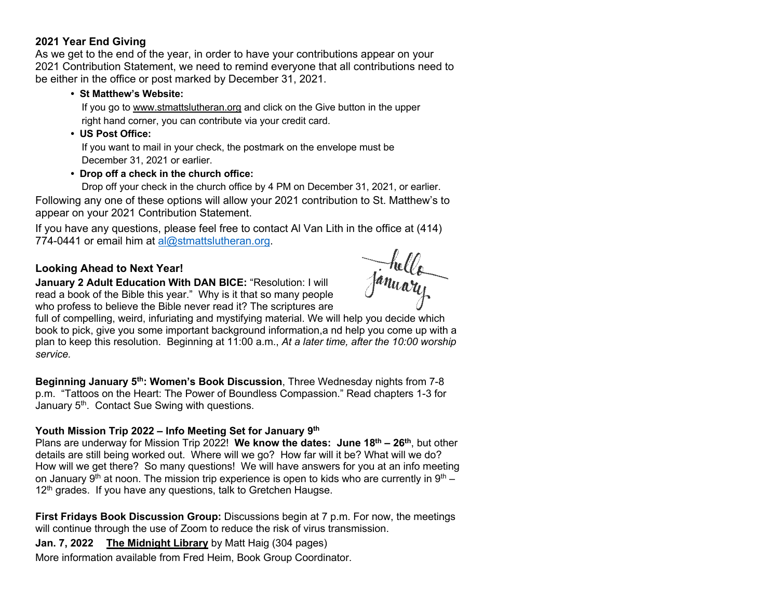# **2021 Year End Giving**

As we get to the end of the year, in order to have your contributions appear on your 2021 Contribution Statement, we need to remind everyone that all contributions need to be either in the office or post marked by December 31, 2021.

#### **• St Matthew's Website:**

 If you go to www.stmattslutheran.org and click on the Give button in the upper right hand corner, you can contribute via your credit card.

#### **• US Post Office:**

 If you want to mail in your check, the postmark on the envelope must be December 31, 2021 or earlier.

## **• Drop off a check in the church office:**

 Drop off your check in the church office by 4 PM on December 31, 2021, or earlier. Following any one of these options will allow your 2021 contribution to St. Matthew's to appear on your 2021 Contribution Statement.

If you have any questions, please feel free to contact Al Van Lith in the office at (414) 774-0441 or email him at al@stmattslutheran.org.

# **Looking Ahead to Next Year!**

**January 2 Adult Education With DAN BICE:** "Resolution: I will read a book of the Bible this year." Why is it that so many people who profess to believe the Bible never read it? The scriptures are

full of compelling, weird, infuriating and mystifying material. We will help you decide which book to pick, give you some important background information,a nd help you come up with a plan to keep this resolution. Beginning at 11:00 a.m., *At a later time, after the 10:00 worship service.*

**Beginning January 5th: Women's Book Discussion**, Three Wednesday nights from 7-8 p.m. "Tattoos on the Heart: The Power of Boundless Compassion." Read chapters 1-3 for January 5<sup>th</sup>. Contact Sue Swing with questions.

## **Youth Mission Trip 2022 – Info Meeting Set for January 9th**

Plans are underway for Mission Trip 2022! **We know the dates: June 18th – 26th**, but other details are still being worked out. Where will we go? How far will it be? What will we do? How will we get there? So many questions! We will have answers for you at an info meeting on January 9<sup>th</sup> at noon. The mission trip experience is open to kids who are currently in 9<sup>th</sup> –  $12<sup>th</sup>$  grades. If you have any questions, talk to Gretchen Haugse.

**First Fridays Book Discussion Group:** Discussions begin at 7 p.m. For now, the meetings will continue through the use of Zoom to reduce the risk of virus transmission.

**Jan. 7, 2022 The Midnight Library** by Matt Haig (304 pages)

More information available from Fred Heim, Book Group Coordinator.

January